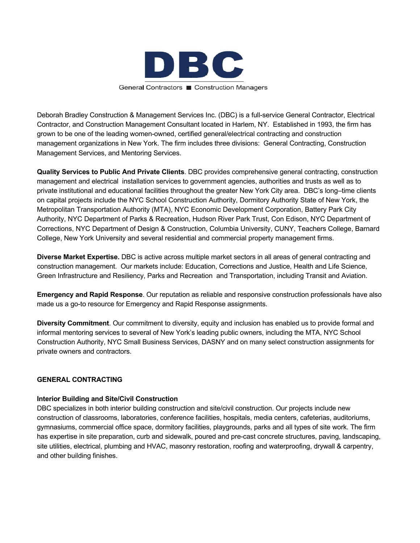

Deborah Bradley Construction & Management Services Inc. (DBC) is a full-service General Contractor, Electrical Contractor, and Construction Management Consultant located in Harlem, NY. Established in 1993, the firm has grown to be one of the leading women-owned, certified general/electrical contracting and construction management organizations in New York. The firm includes three divisions: General Contracting, Construction Management Services, and Mentoring Services.

**Quality Services to Public And Private Clients**. DBC provides comprehensive general contracting, construction management and electrical installation services to government agencies, authorities and trusts as well as to private institutional and educational facilities throughout the greater New York City area. DBC's long–time clients on capital projects include the NYC School Construction Authority, Dormitory Authority State of New York, the Metropolitan Transportation Authority (MTA), NYC Economic Development Corporation, Battery Park City Authority, NYC Department of Parks & Recreation, Hudson River Park Trust, Con Edison, NYC Department of Corrections, NYC Department of Design & Construction, Columbia University, CUNY, Teachers College, Barnard College, New York University and several residential and commercial property management firms.

**Diverse Market Expertise.** DBC is active across multiple market sectors in all areas of general contracting and construction management. Our markets include: Education, Corrections and Justice, Health and Life Science, Green Infrastructure and Resiliency, Parks and Recreation and Transportation, including Transit and Aviation.

**Emergency and Rapid Response**. Our reputation as reliable and responsive construction professionals have also made us a go-to resource for Emergency and Rapid Response assignments.

**Diversity Commitment**. Our commitment to diversity, equity and inclusion has enabled us to provide formal and informal mentoring services to several of New York's leading public owners, including the MTA, NYC School Construction Authority, NYC Small Business Services, DASNY and on many select construction assignments for private owners and contractors.

## **GENERAL CONTRACTING**

## **Interior Building and Site/Civil Construction**

DBC specializes in both interior building construction and site/civil construction. Our projects include new construction of classrooms, laboratories, conference facilities, hospitals, media centers, cafeterias, auditoriums, gymnasiums, commercial office space, dormitory facilities, playgrounds, parks and all types of site work. The firm has expertise in site preparation, curb and sidewalk, poured and pre-cast concrete structures, paving, landscaping, site utilities, electrical, plumbing and HVAC, masonry restoration, roofing and waterproofing, drywall & carpentry, and other building finishes.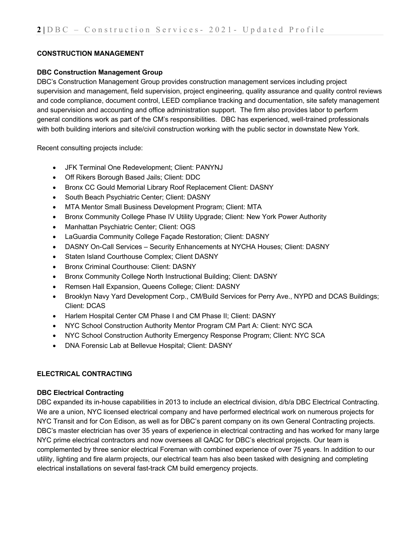# **CONSTRUCTION MANAGEMENT**

## **DBC Construction Management Group**

DBC's Construction Management Group provides construction management services including project supervision and management, field supervision, project engineering, quality assurance and quality control reviews and code compliance, document control, LEED compliance tracking and documentation, site safety management and supervision and accounting and office administration support. The firm also provides labor to perform general conditions work as part of the CM's responsibilities. DBC has experienced, well-trained professionals with both building interiors and site/civil construction working with the public sector in downstate New York.

Recent consulting projects include:

- JFK Terminal One Redevelopment; Client: PANYNJ
- Off Rikers Borough Based Jails; Client: DDC
- Bronx CC Gould Memorial Library Roof Replacement Client: DASNY
- South Beach Psychiatric Center; Client: DASNY
- MTA Mentor Small Business Development Program; Client: MTA
- Bronx Community College Phase IV Utility Upgrade; Client: New York Power Authority
- Manhattan Psychiatric Center; Client: OGS
- LaGuardia Community College Façade Restoration; Client: DASNY
- DASNY On-Call Services Security Enhancements at NYCHA Houses; Client: DASNY
- Staten Island Courthouse Complex; Client DASNY
- Bronx Criminal Courthouse: Client: DASNY
- Bronx Community College North Instructional Building; Client: DASNY
- Remsen Hall Expansion, Queens College; Client: DASNY
- Brooklyn Navy Yard Development Corp., CM/Build Services for Perry Ave., NYPD and DCAS Buildings; Client: DCAS
- Harlem Hospital Center CM Phase I and CM Phase II; Client: DASNY
- NYC School Construction Authority Mentor Program CM Part A: Client: NYC SCA
- NYC School Construction Authority Emergency Response Program; Client: NYC SCA
- DNA Forensic Lab at Bellevue Hospital; Client: DASNY

## **ELECTRICAL CONTRACTING**

## **DBC Electrical Contracting**

DBC expanded its in-house capabilities in 2013 to include an electrical division, d/b/a DBC Electrical Contracting. We are a union, NYC licensed electrical company and have performed electrical work on numerous projects for NYC Transit and for Con Edison, as well as for DBC's parent company on its own General Contracting projects. DBC's master electrician has over 35 years of experience in electrical contracting and has worked for many large NYC prime electrical contractors and now oversees all QAQC for DBC's electrical projects. Our team is complemented by three senior electrical Foreman with combined experience of over 75 years. In addition to our utility, lighting and fire alarm projects, our electrical team has also been tasked with designing and completing electrical installations on several fast-track CM build emergency projects.